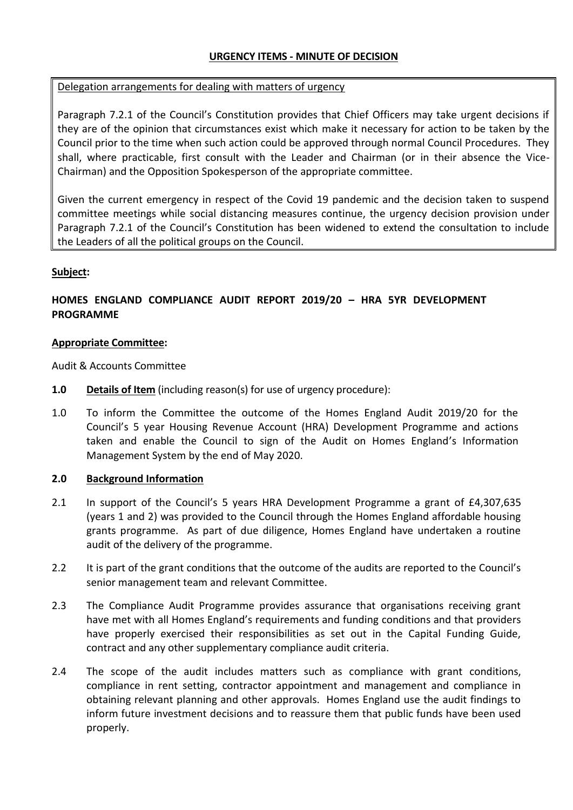## **URGENCY ITEMS - MINUTE OF DECISION**

### Delegation arrangements for dealing with matters of urgency

Paragraph 7.2.1 of the Council's Constitution provides that Chief Officers may take urgent decisions if they are of the opinion that circumstances exist which make it necessary for action to be taken by the Council prior to the time when such action could be approved through normal Council Procedures. They shall, where practicable, first consult with the Leader and Chairman (or in their absence the Vice-Chairman) and the Opposition Spokesperson of the appropriate committee.

Given the current emergency in respect of the Covid 19 pandemic and the decision taken to suspend committee meetings while social distancing measures continue, the urgency decision provision under Paragraph 7.2.1 of the Council's Constitution has been widened to extend the consultation to include the Leaders of all the political groups on the Council.

### **Subject:**

# **HOMES ENGLAND COMPLIANCE AUDIT REPORT 2019/20 – HRA 5YR DEVELOPMENT PROGRAMME**

#### **Appropriate Committee:**

Audit & Accounts Committee

- **1.0 Details of Item** (including reason(s) for use of urgency procedure):
- 1.0 To inform the Committee the outcome of the Homes England Audit 2019/20 for the Council's 5 year Housing Revenue Account (HRA) Development Programme and actions taken and enable the Council to sign of the Audit on Homes England's Information Management System by the end of May 2020.

#### **2.0 Background Information**

- 2.1 In support of the Council's 5 years HRA Development Programme a grant of £4,307,635 (years 1 and 2) was provided to the Council through the Homes England affordable housing grants programme. As part of due diligence, Homes England have undertaken a routine audit of the delivery of the programme.
- 2.2 It is part of the grant conditions that the outcome of the audits are reported to the Council's senior management team and relevant Committee.
- 2.3 The Compliance Audit Programme provides assurance that organisations receiving grant have met with all Homes England's requirements and funding conditions and that providers have properly exercised their responsibilities as set out in the Capital Funding Guide, contract and any other supplementary compliance audit criteria.
- 2.4 The scope of the audit includes matters such as compliance with grant conditions, compliance in rent setting, contractor appointment and management and compliance in obtaining relevant planning and other approvals. Homes England use the audit findings to inform future investment decisions and to reassure them that public funds have been used properly.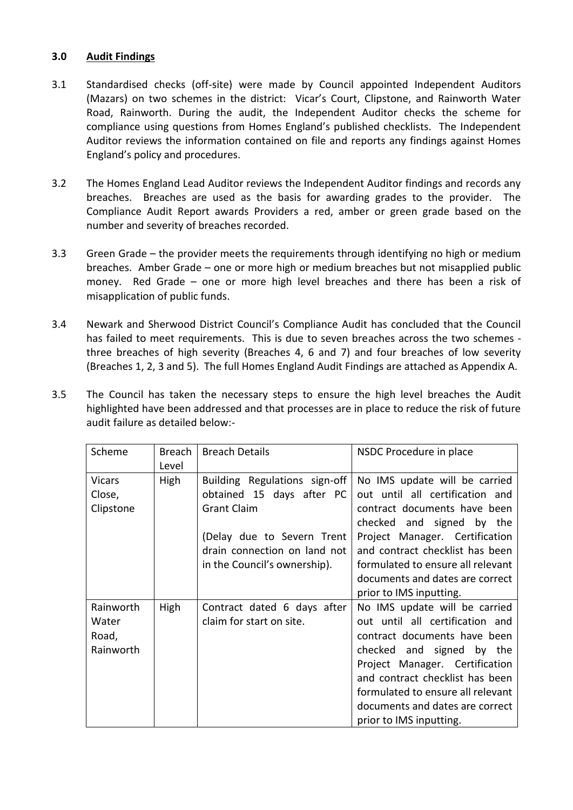## **3.0 Audit Findings**

- 3.1 Standardised checks (off-site) were made by Council appointed Independent Auditors (Mazars) on two schemes in the district: Vicar's Court, Clipstone, and Rainworth Water Road, Rainworth. During the audit, the Independent Auditor checks the scheme for compliance using questions from Homes England's published checklists. The Independent Auditor reviews the information contained on file and reports any findings against Homes England's policy and procedures.
- 3.2 The Homes England Lead Auditor reviews the Independent Auditor findings and records any breaches. Breaches are used as the basis for awarding grades to the provider. The Compliance Audit Report awards Providers a red, amber or green grade based on the number and severity of breaches recorded.
- 3.3 Green Grade the provider meets the requirements through identifying no high or medium breaches. Amber Grade – one or more high or medium breaches but not misapplied public money. Red Grade – one or more high level breaches and there has been a risk of misapplication of public funds.
- 3.4 Newark and Sherwood District Council's Compliance Audit has concluded that the Council has failed to meet requirements. This is due to seven breaches across the two schemes three breaches of high severity (Breaches 4, 6 and 7) and four breaches of low severity (Breaches 1, 2, 3 and 5). The full Homes England Audit Findings are attached as Appendix A.
- 3.5 The Council has taken the necessary steps to ensure the high level breaches the Audit highlighted have been addressed and that processes are in place to reduce the risk of future audit failure as detailed below:-

| Scheme                                   | Breach<br>Level | <b>Breach Details</b>                                                                                                                                                          | NSDC Procedure in place                                                                                                                                                                                                                                                                               |
|------------------------------------------|-----------------|--------------------------------------------------------------------------------------------------------------------------------------------------------------------------------|-------------------------------------------------------------------------------------------------------------------------------------------------------------------------------------------------------------------------------------------------------------------------------------------------------|
| Vicars<br>Close,<br>Clipstone            | High            | Building Regulations sign-off<br>obtained 15 days after PC<br><b>Grant Claim</b><br>(Delay due to Severn Trent<br>drain connection on land not<br>in the Council's ownership). | No IMS update will be carried<br>out until all certification and<br>contract documents have been<br>checked and signed by the<br>Project Manager. Certification<br>and contract checklist has been<br>formulated to ensure all relevant<br>documents and dates are correct<br>prior to IMS inputting. |
| Rainworth<br>Water<br>Road,<br>Rainworth | High            | Contract dated 6 days after<br>claim for start on site.                                                                                                                        | No IMS update will be carried<br>out until all certification and<br>contract documents have been<br>checked and signed by the<br>Project Manager. Certification<br>and contract checklist has been<br>formulated to ensure all relevant<br>documents and dates are correct<br>prior to IMS inputting. |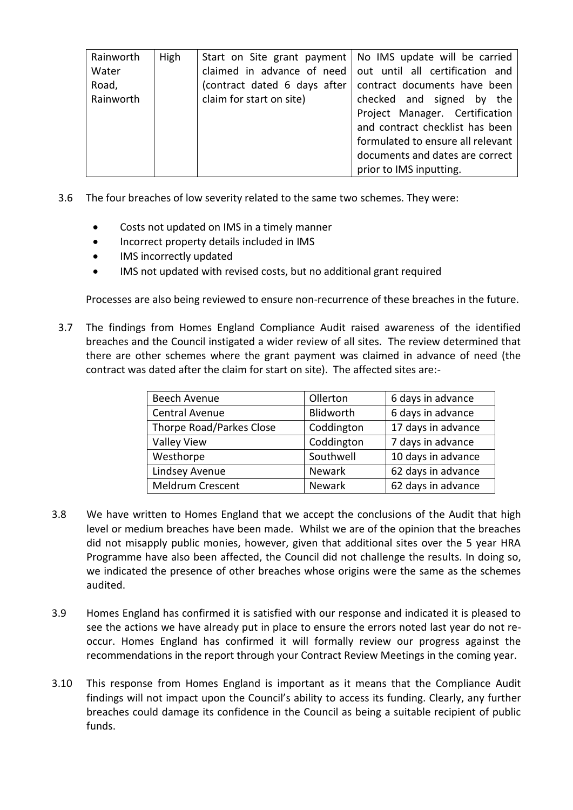| Rainworth | High |                              | Start on Site grant payment   No IMS update will be carried  |
|-----------|------|------------------------------|--------------------------------------------------------------|
| Water     |      |                              | claimed in advance of need   out until all certification and |
| Road,     |      | (contract dated 6 days after | contract documents have been                                 |
| Rainworth |      | claim for start on site)     | checked and signed by the                                    |
|           |      |                              | Project Manager. Certification                               |
|           |      |                              | and contract checklist has been                              |
|           |      |                              | formulated to ensure all relevant                            |
|           |      |                              | documents and dates are correct                              |
|           |      |                              | prior to IMS inputting.                                      |

- 3.6 The four breaches of low severity related to the same two schemes. They were:
	- Costs not updated on IMS in a timely manner
	- Incorrect property details included in IMS
	- IMS incorrectly updated
	- IMS not updated with revised costs, but no additional grant required

Processes are also being reviewed to ensure non-recurrence of these breaches in the future.

3.7 The findings from Homes England Compliance Audit raised awareness of the identified breaches and the Council instigated a wider review of all sites. The review determined that there are other schemes where the grant payment was claimed in advance of need (the contract was dated after the claim for start on site). The affected sites are:-

| Beech Avenue             | Ollerton      | 6 days in advance  |
|--------------------------|---------------|--------------------|
| Central Avenue           | Blidworth     | 6 days in advance  |
| Thorpe Road/Parkes Close | Coddington    | 17 days in advance |
| <b>Valley View</b>       | Coddington    | 7 days in advance  |
| Westhorpe                | Southwell     | 10 days in advance |
| Lindsey Avenue           | Newark        | 62 days in advance |
| Meldrum Crescent         | <b>Newark</b> | 62 days in advance |

- 3.8 We have written to Homes England that we accept the conclusions of the Audit that high level or medium breaches have been made. Whilst we are of the opinion that the breaches did not misapply public monies, however, given that additional sites over the 5 year HRA Programme have also been affected, the Council did not challenge the results. In doing so, we indicated the presence of other breaches whose origins were the same as the schemes audited.
- 3.9 Homes England has confirmed it is satisfied with our response and indicated it is pleased to see the actions we have already put in place to ensure the errors noted last year do not reoccur. Homes England has confirmed it will formally review our progress against the recommendations in the report through your Contract Review Meetings in the coming year.
- 3.10 This response from Homes England is important as it means that the Compliance Audit findings will not impact upon the Council's ability to access its funding. Clearly, any further breaches could damage its confidence in the Council as being a suitable recipient of public funds.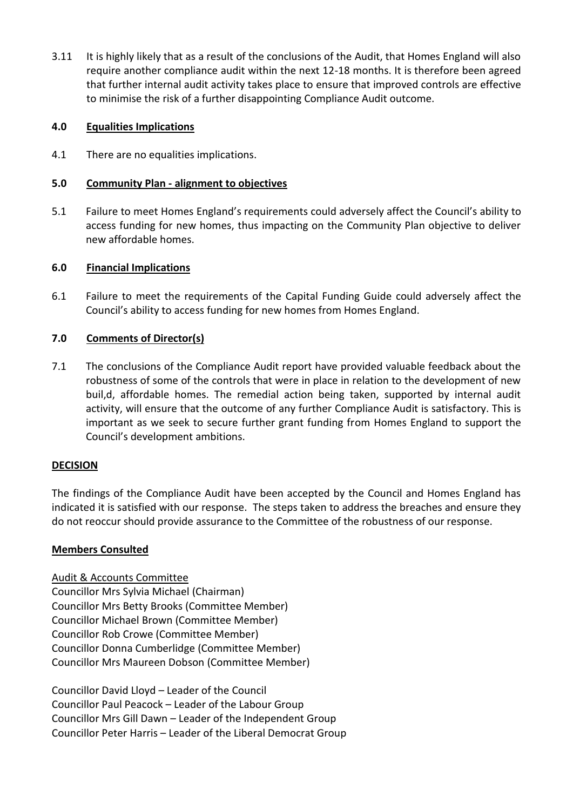3.11 It is highly likely that as a result of the conclusions of the Audit, that Homes England will also require another compliance audit within the next 12-18 months. It is therefore been agreed that further internal audit activity takes place to ensure that improved controls are effective to minimise the risk of a further disappointing Compliance Audit outcome.

## **4.0 Equalities Implications**

4.1 There are no equalities implications.

### **5.0 Community Plan - alignment to objectives**

5.1 Failure to meet Homes England's requirements could adversely affect the Council's ability to access funding for new homes, thus impacting on the Community Plan objective to deliver new affordable homes.

### **6.0 Financial Implications**

6.1 Failure to meet the requirements of the Capital Funding Guide could adversely affect the Council's ability to access funding for new homes from Homes England.

### **7.0 Comments of Director(s)**

7.1 The conclusions of the Compliance Audit report have provided valuable feedback about the robustness of some of the controls that were in place in relation to the development of new buil,d, affordable homes. The remedial action being taken, supported by internal audit activity, will ensure that the outcome of any further Compliance Audit is satisfactory. This is important as we seek to secure further grant funding from Homes England to support the Council's development ambitions.

#### **DECISION**

The findings of the Compliance Audit have been accepted by the Council and Homes England has indicated it is satisfied with our response. The steps taken to address the breaches and ensure they do not reoccur should provide assurance to the Committee of the robustness of our response.

#### **Members Consulted**

Audit & Accounts Committee [Councillor](https://democracy.newark-sherwooddc.gov.uk/mgUserInfo.aspx?UID=115) Mrs Sylvia Michael (Chairman) [Councillor](https://democracy.newark-sherwooddc.gov.uk/mgUserInfo.aspx?UID=125) Mrs Betty Brooks (Committee Member) [Councillor](https://democracy.newark-sherwooddc.gov.uk/mgUserInfo.aspx?UID=301) Michael Brown (Committee Member) [Councillor](https://democracy.newark-sherwooddc.gov.uk/mgUserInfo.aspx?UID=132) Rob Crowe (Committee Member) Councillor Donna [Cumberlidge](https://democracy.newark-sherwooddc.gov.uk/mgUserInfo.aspx?UID=322) (Committee Member) [Councillor](https://democracy.newark-sherwooddc.gov.uk/mgUserInfo.aspx?UID=135) Mrs Maureen Dobson (Committee Member)

Councillor David Lloyd – Leader of the Council Councillor Paul Peacock – Leader of the Labour Group Councillor Mrs Gill Dawn – Leader of the Independent Group Councillor Peter Harris – Leader of the Liberal Democrat Group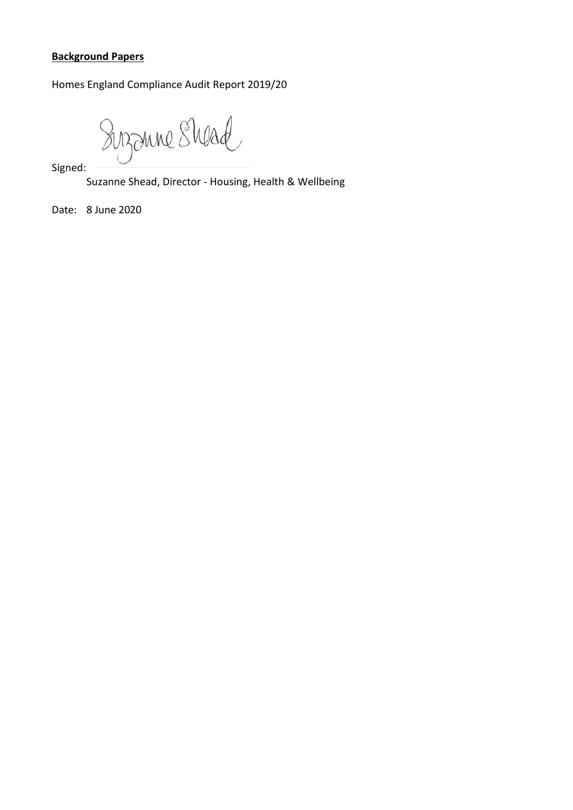# **Background Papers**

Homes England Compliance Audit Report 2019/20

Suzzune Shead

Signed:

Suzanne Shead, Director - Housing, Health & Wellbeing

Date: 8 June 2020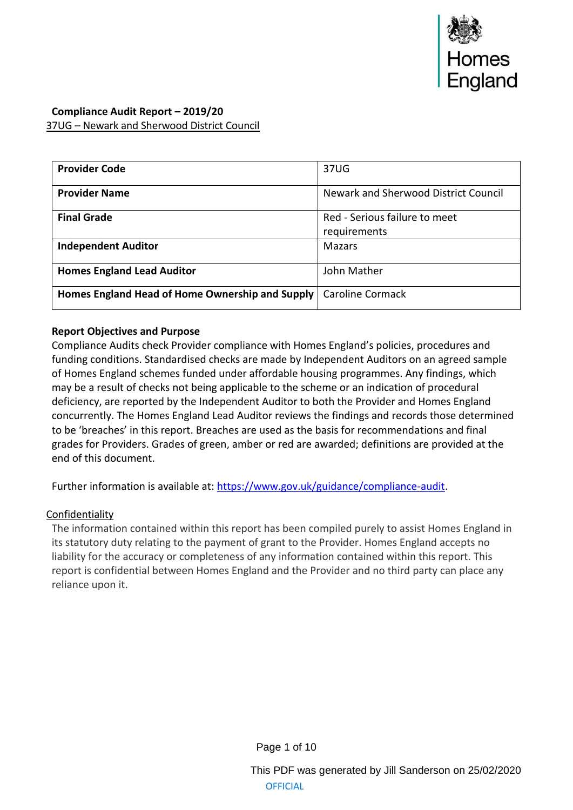

## **Compliance Audit Report – 2019/20** 37UG – Newark and Sherwood District Council

| <b>Provider Code</b>                            | 37UG                                          |
|-------------------------------------------------|-----------------------------------------------|
| <b>Provider Name</b>                            | Newark and Sherwood District Council          |
| <b>Final Grade</b>                              | Red - Serious failure to meet<br>requirements |
| <b>Independent Auditor</b>                      | <b>Mazars</b>                                 |
| <b>Homes England Lead Auditor</b>               | John Mather                                   |
| Homes England Head of Home Ownership and Supply | <b>Caroline Cormack</b>                       |

## **Report Objectives and Purpose**

Compliance Audits check Provider compliance with Homes England's policies, procedures and funding conditions. Standardised checks are made by Independent Auditors on an agreed sample of Homes England schemes funded under affordable housing programmes. Any findings, which may be a result of checks not being applicable to the scheme or an indication of procedural deficiency, are reported by the Independent Auditor to both the Provider and Homes England concurrently. The Homes England Lead Auditor reviews the findings and records those determined to be 'breaches' in this report. Breaches are used as the basis for recommendations and final grades for Providers. Grades of green, amber or red are awarded; definitions are provided at the end of this document.

Further information is available at: [https://www.gov.uk/guidance/compliance-audit.](https://www.gov.uk/guidance/compliance-audit)

#### Confidentiality

The information contained within this report has been compiled purely to assist Homes England in its statutory duty relating to the payment of grant to the Provider. Homes England accepts no liability for the accuracy or completeness of any information contained within this report. This report is confidential between Homes England and the Provider and no third party can place any reliance upon it.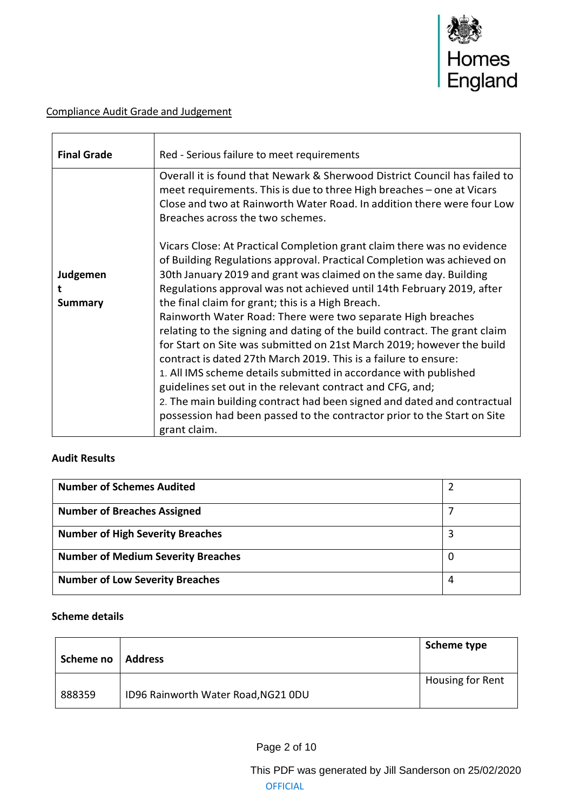

# Compliance Audit Grade and Judgement

| <b>Final Grade</b>              | Red - Serious failure to meet requirements                                                                                                                                                                                                                                                                                                                                                                                                                                                                                                                                                                                                                                                                                                                                                                                                                                                                                                          |
|---------------------------------|-----------------------------------------------------------------------------------------------------------------------------------------------------------------------------------------------------------------------------------------------------------------------------------------------------------------------------------------------------------------------------------------------------------------------------------------------------------------------------------------------------------------------------------------------------------------------------------------------------------------------------------------------------------------------------------------------------------------------------------------------------------------------------------------------------------------------------------------------------------------------------------------------------------------------------------------------------|
|                                 | Overall it is found that Newark & Sherwood District Council has failed to<br>meet requirements. This is due to three High breaches – one at Vicars<br>Close and two at Rainworth Water Road. In addition there were four Low<br>Breaches across the two schemes.                                                                                                                                                                                                                                                                                                                                                                                                                                                                                                                                                                                                                                                                                    |
| Judgemen<br>t<br><b>Summary</b> | Vicars Close: At Practical Completion grant claim there was no evidence<br>of Building Regulations approval. Practical Completion was achieved on<br>30th January 2019 and grant was claimed on the same day. Building<br>Regulations approval was not achieved until 14th February 2019, after<br>the final claim for grant; this is a High Breach.<br>Rainworth Water Road: There were two separate High breaches<br>relating to the signing and dating of the build contract. The grant claim<br>for Start on Site was submitted on 21st March 2019; however the build<br>contract is dated 27th March 2019. This is a failure to ensure:<br>1. All IMS scheme details submitted in accordance with published<br>guidelines set out in the relevant contract and CFG, and;<br>2. The main building contract had been signed and dated and contractual<br>possession had been passed to the contractor prior to the Start on Site<br>grant claim. |

#### **Audit Results**

| <b>Number of Schemes Audited</b>          |   |
|-------------------------------------------|---|
| <b>Number of Breaches Assigned</b>        |   |
| <b>Number of High Severity Breaches</b>   |   |
| <b>Number of Medium Severity Breaches</b> |   |
| <b>Number of Low Severity Breaches</b>    | 4 |

#### **Scheme details**

| Scheme no | <b>Address</b>                      | Scheme type      |
|-----------|-------------------------------------|------------------|
| 888359    | ID96 Rainworth Water Road, NG21 0DU | Housing for Rent |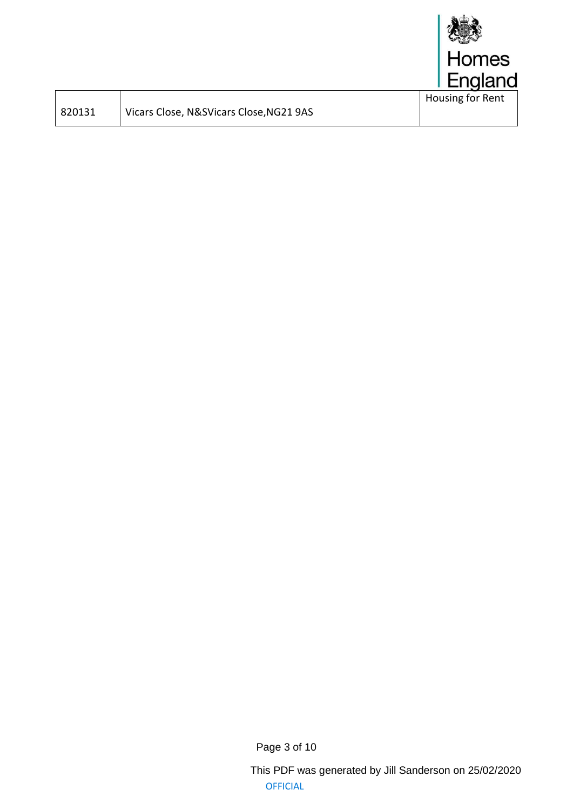

| 820131 |
|--------|
|        |

Vicars Close, N&SVicars Close, NG21 9AS

Page 3 of 10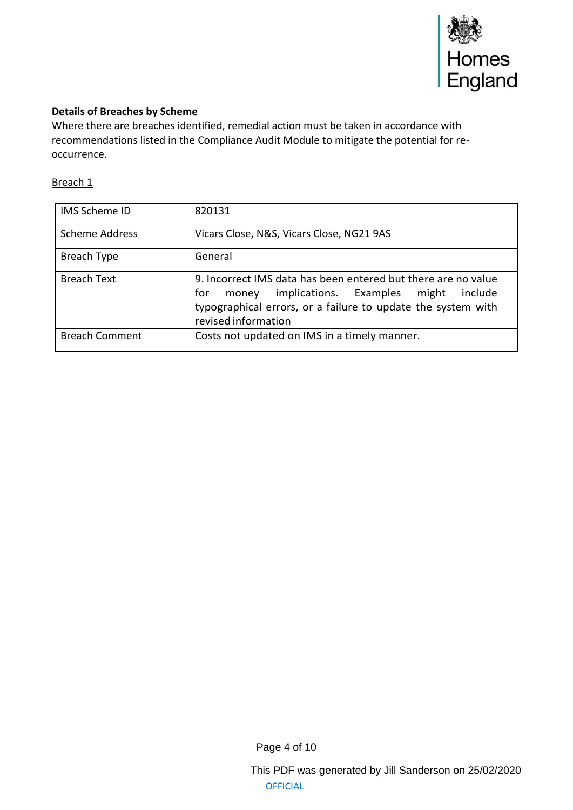

### **Details of Breaches by Scheme**

Where there are breaches identified, remedial action must be taken in accordance with recommendations listed in the Compliance Audit Module to mitigate the potential for reoccurrence.

### Breach 1

| <b>IMS Scheme ID</b>  | 820131                                                                                                                                                                                                          |
|-----------------------|-----------------------------------------------------------------------------------------------------------------------------------------------------------------------------------------------------------------|
| <b>Scheme Address</b> | Vicars Close, N&S, Vicars Close, NG21 9AS                                                                                                                                                                       |
| Breach Type           | General                                                                                                                                                                                                         |
| <b>Breach Text</b>    | 9. Incorrect IMS data has been entered but there are no value<br>implications. Examples might<br>include<br>for<br>money<br>typographical errors, or a failure to update the system with<br>revised information |
| <b>Breach Comment</b> | Costs not updated on IMS in a timely manner.                                                                                                                                                                    |

Page 4 of 10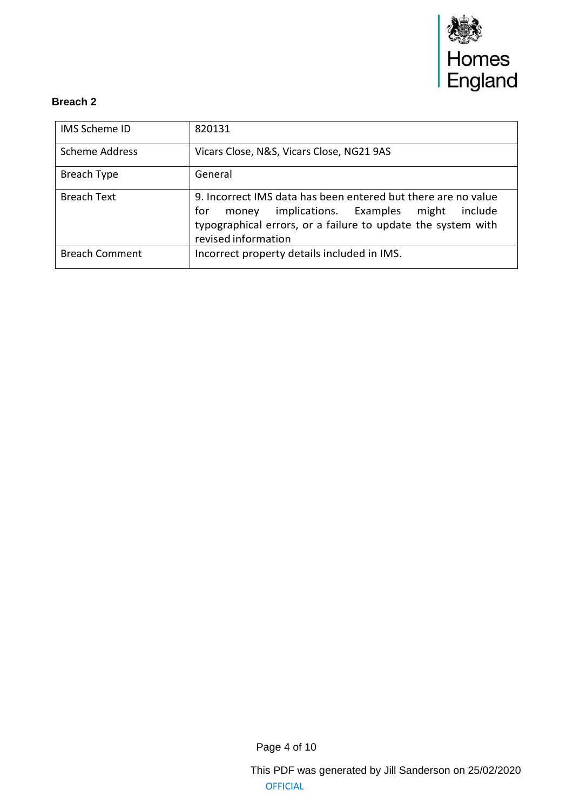

| <b>IMS Scheme ID</b>  | 820131                                                                                                                                                                                                          |
|-----------------------|-----------------------------------------------------------------------------------------------------------------------------------------------------------------------------------------------------------------|
| <b>Scheme Address</b> | Vicars Close, N&S, Vicars Close, NG21 9AS                                                                                                                                                                       |
| Breach Type           | General                                                                                                                                                                                                         |
| <b>Breach Text</b>    | 9. Incorrect IMS data has been entered but there are no value<br>implications. Examples might<br>for<br>include<br>money<br>typographical errors, or a failure to update the system with<br>revised information |
| <b>Breach Comment</b> | Incorrect property details included in IMS.                                                                                                                                                                     |

Page 4 of 10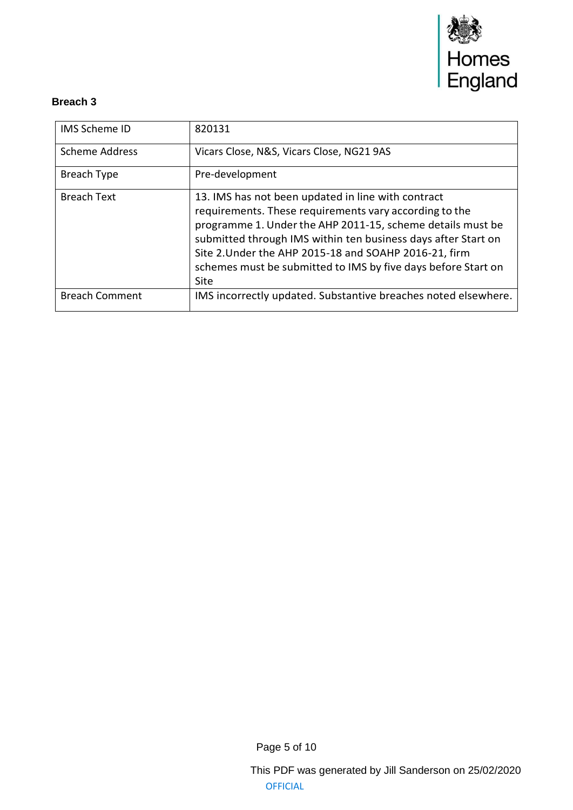

| <b>IMS Scheme ID</b>  | 820131                                                                                                                                                                                                                                                                                                                                                                        |
|-----------------------|-------------------------------------------------------------------------------------------------------------------------------------------------------------------------------------------------------------------------------------------------------------------------------------------------------------------------------------------------------------------------------|
| <b>Scheme Address</b> | Vicars Close, N&S, Vicars Close, NG21 9AS                                                                                                                                                                                                                                                                                                                                     |
| Breach Type           | Pre-development                                                                                                                                                                                                                                                                                                                                                               |
| <b>Breach Text</b>    | 13. IMS has not been updated in line with contract<br>requirements. These requirements vary according to the<br>programme 1. Under the AHP 2011-15, scheme details must be<br>submitted through IMS within ten business days after Start on<br>Site 2. Under the AHP 2015-18 and SOAHP 2016-21, firm<br>schemes must be submitted to IMS by five days before Start on<br>Site |
| <b>Breach Comment</b> | IMS incorrectly updated. Substantive breaches noted elsewhere.                                                                                                                                                                                                                                                                                                                |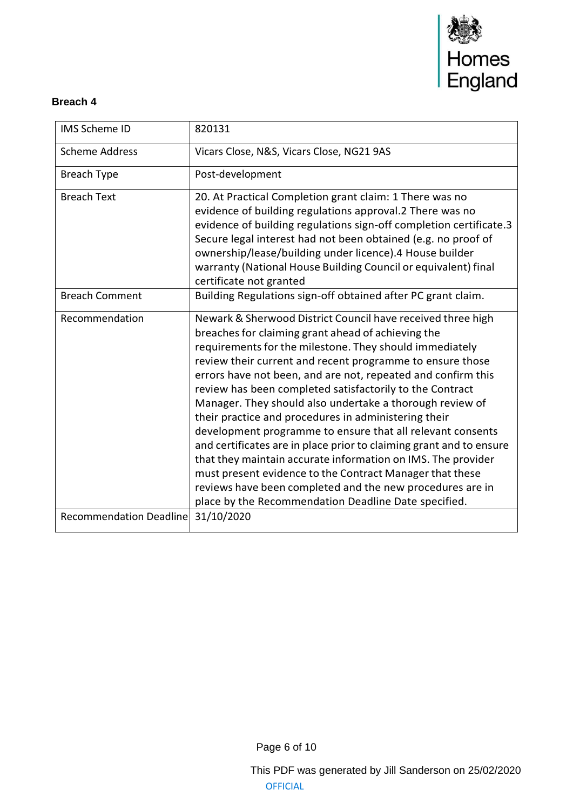

| <b>IMS Scheme ID</b>           | 820131                                                                                                                                                                                                                                                                                                                                                                                                                                                                                                                                                                                                                                                                                                                                                                                                                                                                          |
|--------------------------------|---------------------------------------------------------------------------------------------------------------------------------------------------------------------------------------------------------------------------------------------------------------------------------------------------------------------------------------------------------------------------------------------------------------------------------------------------------------------------------------------------------------------------------------------------------------------------------------------------------------------------------------------------------------------------------------------------------------------------------------------------------------------------------------------------------------------------------------------------------------------------------|
| <b>Scheme Address</b>          | Vicars Close, N&S, Vicars Close, NG21 9AS                                                                                                                                                                                                                                                                                                                                                                                                                                                                                                                                                                                                                                                                                                                                                                                                                                       |
| <b>Breach Type</b>             | Post-development                                                                                                                                                                                                                                                                                                                                                                                                                                                                                                                                                                                                                                                                                                                                                                                                                                                                |
| <b>Breach Text</b>             | 20. At Practical Completion grant claim: 1 There was no<br>evidence of building regulations approval.2 There was no<br>evidence of building regulations sign-off completion certificate.3<br>Secure legal interest had not been obtained (e.g. no proof of<br>ownership/lease/building under licence).4 House builder<br>warranty (National House Building Council or equivalent) final<br>certificate not granted                                                                                                                                                                                                                                                                                                                                                                                                                                                              |
| <b>Breach Comment</b>          | Building Regulations sign-off obtained after PC grant claim.                                                                                                                                                                                                                                                                                                                                                                                                                                                                                                                                                                                                                                                                                                                                                                                                                    |
| Recommendation                 | Newark & Sherwood District Council have received three high<br>breaches for claiming grant ahead of achieving the<br>requirements for the milestone. They should immediately<br>review their current and recent programme to ensure those<br>errors have not been, and are not, repeated and confirm this<br>review has been completed satisfactorily to the Contract<br>Manager. They should also undertake a thorough review of<br>their practice and procedures in administering their<br>development programme to ensure that all relevant consents<br>and certificates are in place prior to claiming grant and to ensure<br>that they maintain accurate information on IMS. The provider<br>must present evidence to the Contract Manager that these<br>reviews have been completed and the new procedures are in<br>place by the Recommendation Deadline Date specified. |
| <b>Recommendation Deadline</b> | 31/10/2020                                                                                                                                                                                                                                                                                                                                                                                                                                                                                                                                                                                                                                                                                                                                                                                                                                                                      |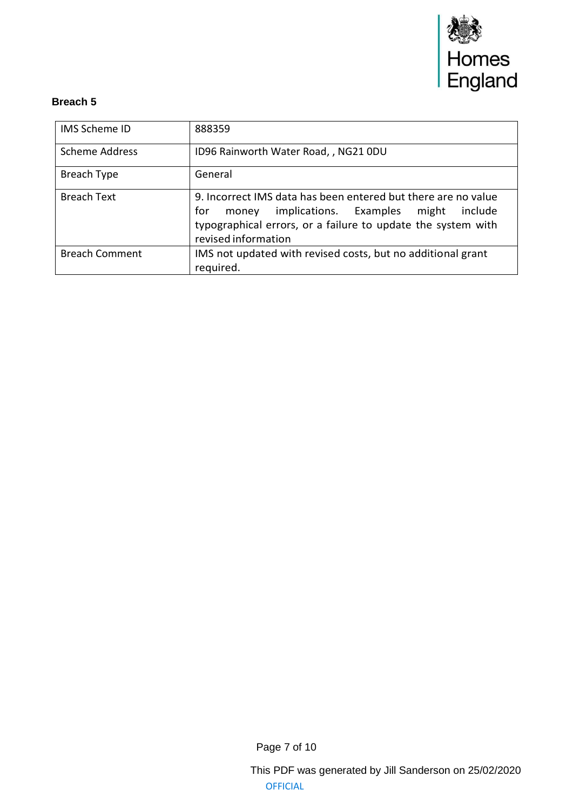

| <b>IMS Scheme ID</b>  | 888359                                                                                                                                                                                                       |  |
|-----------------------|--------------------------------------------------------------------------------------------------------------------------------------------------------------------------------------------------------------|--|
| Scheme Address        | ID96 Rainworth Water Road, , NG21 0DU                                                                                                                                                                        |  |
| Breach Type           | General                                                                                                                                                                                                      |  |
| <b>Breach Text</b>    | 9. Incorrect IMS data has been entered but there are no value<br>implications. Examples might include<br>for<br>money<br>typographical errors, or a failure to update the system with<br>revised information |  |
| <b>Breach Comment</b> | IMS not updated with revised costs, but no additional grant<br>required.                                                                                                                                     |  |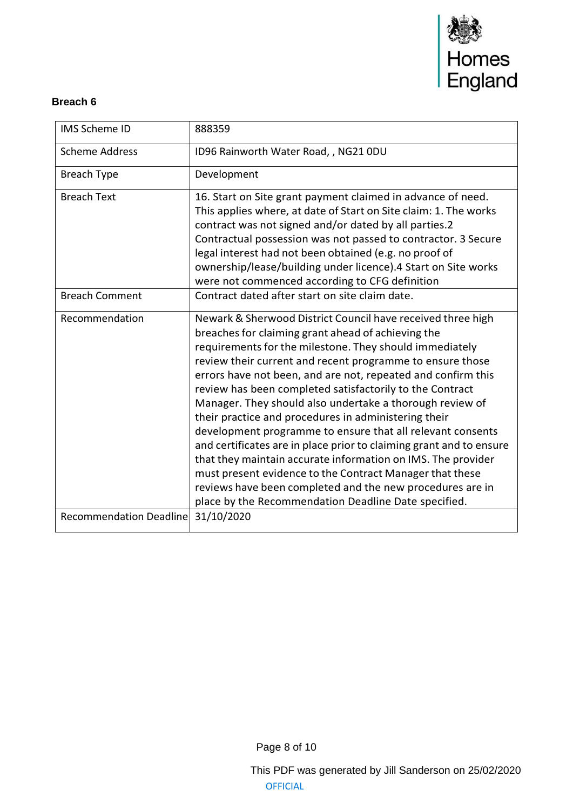

| <b>IMS Scheme ID</b>           | 888359                                                                                                                                                                                                                                                                                                                                                                                                                                                                                                                                                                                                                                                                                                                                                                                                                                                                          |
|--------------------------------|---------------------------------------------------------------------------------------------------------------------------------------------------------------------------------------------------------------------------------------------------------------------------------------------------------------------------------------------------------------------------------------------------------------------------------------------------------------------------------------------------------------------------------------------------------------------------------------------------------------------------------------------------------------------------------------------------------------------------------------------------------------------------------------------------------------------------------------------------------------------------------|
| <b>Scheme Address</b>          | ID96 Rainworth Water Road, , NG21 0DU                                                                                                                                                                                                                                                                                                                                                                                                                                                                                                                                                                                                                                                                                                                                                                                                                                           |
| <b>Breach Type</b>             | Development                                                                                                                                                                                                                                                                                                                                                                                                                                                                                                                                                                                                                                                                                                                                                                                                                                                                     |
| <b>Breach Text</b>             | 16. Start on Site grant payment claimed in advance of need.<br>This applies where, at date of Start on Site claim: 1. The works<br>contract was not signed and/or dated by all parties.2<br>Contractual possession was not passed to contractor. 3 Secure<br>legal interest had not been obtained (e.g. no proof of<br>ownership/lease/building under licence).4 Start on Site works<br>were not commenced according to CFG definition                                                                                                                                                                                                                                                                                                                                                                                                                                          |
| <b>Breach Comment</b>          | Contract dated after start on site claim date.                                                                                                                                                                                                                                                                                                                                                                                                                                                                                                                                                                                                                                                                                                                                                                                                                                  |
| Recommendation                 | Newark & Sherwood District Council have received three high<br>breaches for claiming grant ahead of achieving the<br>requirements for the milestone. They should immediately<br>review their current and recent programme to ensure those<br>errors have not been, and are not, repeated and confirm this<br>review has been completed satisfactorily to the Contract<br>Manager. They should also undertake a thorough review of<br>their practice and procedures in administering their<br>development programme to ensure that all relevant consents<br>and certificates are in place prior to claiming grant and to ensure<br>that they maintain accurate information on IMS. The provider<br>must present evidence to the Contract Manager that these<br>reviews have been completed and the new procedures are in<br>place by the Recommendation Deadline Date specified. |
| <b>Recommendation Deadline</b> | 31/10/2020                                                                                                                                                                                                                                                                                                                                                                                                                                                                                                                                                                                                                                                                                                                                                                                                                                                                      |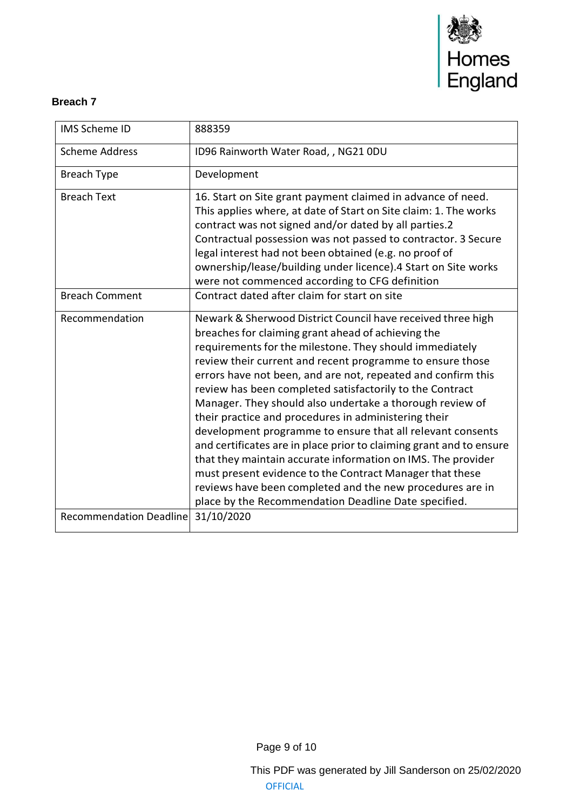

| <b>IMS Scheme ID</b>           | 888359                                                                                                                                                                                                                                                                                                                                                                                                                                                                                                                                                                                                                                                                                                                                                                                                                                                                          |
|--------------------------------|---------------------------------------------------------------------------------------------------------------------------------------------------------------------------------------------------------------------------------------------------------------------------------------------------------------------------------------------------------------------------------------------------------------------------------------------------------------------------------------------------------------------------------------------------------------------------------------------------------------------------------------------------------------------------------------------------------------------------------------------------------------------------------------------------------------------------------------------------------------------------------|
| <b>Scheme Address</b>          | ID96 Rainworth Water Road, , NG21 0DU                                                                                                                                                                                                                                                                                                                                                                                                                                                                                                                                                                                                                                                                                                                                                                                                                                           |
| <b>Breach Type</b>             | Development                                                                                                                                                                                                                                                                                                                                                                                                                                                                                                                                                                                                                                                                                                                                                                                                                                                                     |
| <b>Breach Text</b>             | 16. Start on Site grant payment claimed in advance of need.<br>This applies where, at date of Start on Site claim: 1. The works<br>contract was not signed and/or dated by all parties.2<br>Contractual possession was not passed to contractor. 3 Secure<br>legal interest had not been obtained (e.g. no proof of<br>ownership/lease/building under licence).4 Start on Site works<br>were not commenced according to CFG definition                                                                                                                                                                                                                                                                                                                                                                                                                                          |
| <b>Breach Comment</b>          | Contract dated after claim for start on site                                                                                                                                                                                                                                                                                                                                                                                                                                                                                                                                                                                                                                                                                                                                                                                                                                    |
| Recommendation                 | Newark & Sherwood District Council have received three high<br>breaches for claiming grant ahead of achieving the<br>requirements for the milestone. They should immediately<br>review their current and recent programme to ensure those<br>errors have not been, and are not, repeated and confirm this<br>review has been completed satisfactorily to the Contract<br>Manager. They should also undertake a thorough review of<br>their practice and procedures in administering their<br>development programme to ensure that all relevant consents<br>and certificates are in place prior to claiming grant and to ensure<br>that they maintain accurate information on IMS. The provider<br>must present evidence to the Contract Manager that these<br>reviews have been completed and the new procedures are in<br>place by the Recommendation Deadline Date specified. |
| <b>Recommendation Deadline</b> | 31/10/2020                                                                                                                                                                                                                                                                                                                                                                                                                                                                                                                                                                                                                                                                                                                                                                                                                                                                      |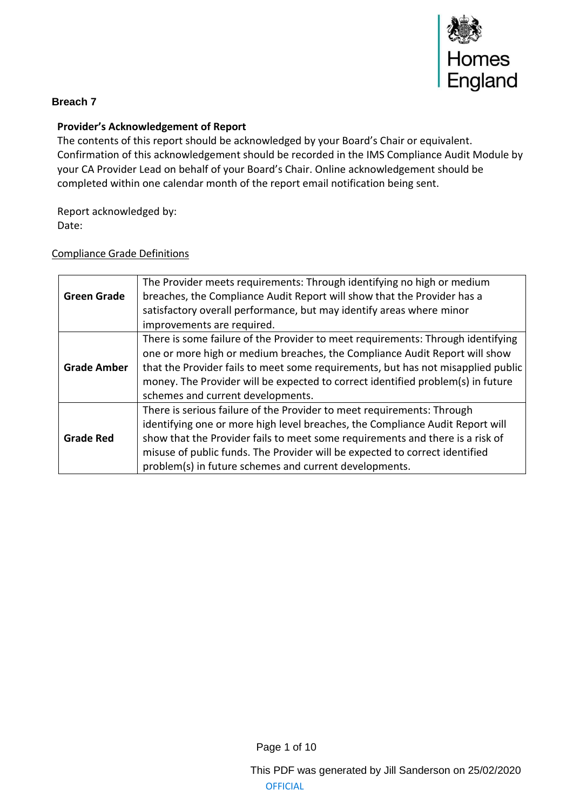

## **Provider's Acknowledgement of Report**

The contents of this report should be acknowledged by your Board's Chair or equivalent. Confirmation of this acknowledgement should be recorded in the IMS Compliance Audit Module by your CA Provider Lead on behalf of your Board's Chair. Online acknowledgement should be completed within one calendar month of the report email notification being sent.

Report acknowledged by: Date:

#### Compliance Grade Definitions

|                    | The Provider meets requirements: Through identifying no high or medium           |
|--------------------|----------------------------------------------------------------------------------|
| <b>Green Grade</b> | breaches, the Compliance Audit Report will show that the Provider has a          |
|                    | satisfactory overall performance, but may identify areas where minor             |
|                    | improvements are required.                                                       |
|                    | There is some failure of the Provider to meet requirements: Through identifying  |
|                    | one or more high or medium breaches, the Compliance Audit Report will show       |
| <b>Grade Amber</b> | that the Provider fails to meet some requirements, but has not misapplied public |
|                    | money. The Provider will be expected to correct identified problem(s) in future  |
|                    | schemes and current developments.                                                |
|                    | There is serious failure of the Provider to meet requirements: Through           |
|                    | identifying one or more high level breaches, the Compliance Audit Report will    |
| <b>Grade Red</b>   | show that the Provider fails to meet some requirements and there is a risk of    |
|                    | misuse of public funds. The Provider will be expected to correct identified      |
|                    | problem(s) in future schemes and current developments.                           |